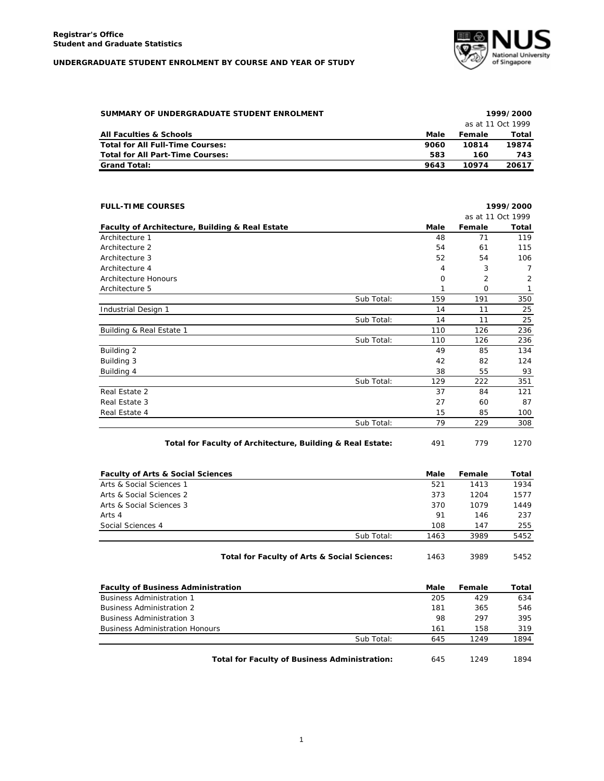

| SUMMARY OF UNDERGRADUATE STUDENT ENROLMENT |                   | 1999/2000 |       |  |  |
|--------------------------------------------|-------------------|-----------|-------|--|--|
|                                            | as at 11 Oct 1999 |           |       |  |  |
| <b>All Faculties &amp; Schools</b>         | Male              | Female    | Total |  |  |
| <b>Total for All Full-Time Courses:</b>    | 9060              | 10814     | 19874 |  |  |
| Total for All Part-Time Courses:           | 583               | 160       | 743   |  |  |
| <b>Grand Total:</b>                        | 9643              | 10974     | 20617 |  |  |

| <b>FULL-TIME COURSES</b>                        |            | 1999/2000 |                   |       |
|-------------------------------------------------|------------|-----------|-------------------|-------|
|                                                 |            |           | as at 11 Oct 1999 |       |
| Faculty of Architecture, Building & Real Estate |            | Male      | Female            | Total |
| Architecture 1                                  |            | 48        | 71                | 119   |
| Architecture 2                                  |            | 54        | 61                | 115   |
| Architecture 3                                  |            | 52        | 54                | 106   |
| Architecture 4                                  |            | 4         | 3                 | 7     |
| Architecture Honours                            |            | 0         | $\overline{2}$    | 2     |
| Architecture 5                                  |            | 1         | $\mathbf 0$       | 1     |
|                                                 | Sub Total: | 159       | 191               | 350   |
| Industrial Design 1                             |            | 14        | 11                | 25    |
|                                                 | Sub Total: | 14        | 11                | 25    |
| Building & Real Estate 1                        |            | 110       | 126               | 236   |
|                                                 | Sub Total: | 110       | 126               | 236   |
| Building 2                                      |            | 49        | 85                | 134   |
| Building 3                                      |            | 42        | 82                | 124   |
| Building 4                                      |            | 38        | 55                | 93    |
|                                                 | Sub Total: | 129       | 222               | 351   |
| Real Estate 2                                   |            | 37        | 84                | 121   |
| Real Estate 3                                   |            | 27        | 60                | 87    |
| Real Estate 4                                   |            | 15        | 85                | 100   |
|                                                 | Sub Total: | 79        | 229               | 308   |
|                                                 |            |           |                   |       |

Total for Faculty of Architecture, Building & Real Estate: 491 779 1270

| <b>Faculty of Arts &amp; Social Sciences</b> |                                              | Male | Female | Total |
|----------------------------------------------|----------------------------------------------|------|--------|-------|
| Arts & Social Sciences 1                     |                                              | 521  | 1413   | 1934  |
| Arts & Social Sciences 2                     |                                              | 373  | 1204   | 1577  |
| Arts & Social Sciences 3                     |                                              | 370  | 1079   | 1449  |
| Arts 4                                       |                                              | 91   | 146    | 237   |
| Social Sciences 4                            |                                              | 108  | 147    | 255   |
|                                              | Sub Total:                                   | 1463 | 3989   | 5452  |
|                                              | Total for Faculty of Arts & Social Sciences: | 1463 | 3989   | 5452  |

| <b>Faculty of Business Administration</b>            | Male | Female | Total |
|------------------------------------------------------|------|--------|-------|
| <b>Business Administration 1</b>                     | 205  | 429    | 634   |
| <b>Business Administration 2</b>                     | 181  | 365    | 546   |
| <b>Business Administration 3</b>                     | 98   | 297    | 395   |
| <b>Business Administration Honours</b>               | 161  | 158    | 319   |
| Sub Total:                                           | 645  | 1249   | 1894  |
| <b>Total for Faculty of Business Administration:</b> | 645  | 1249   | 1894  |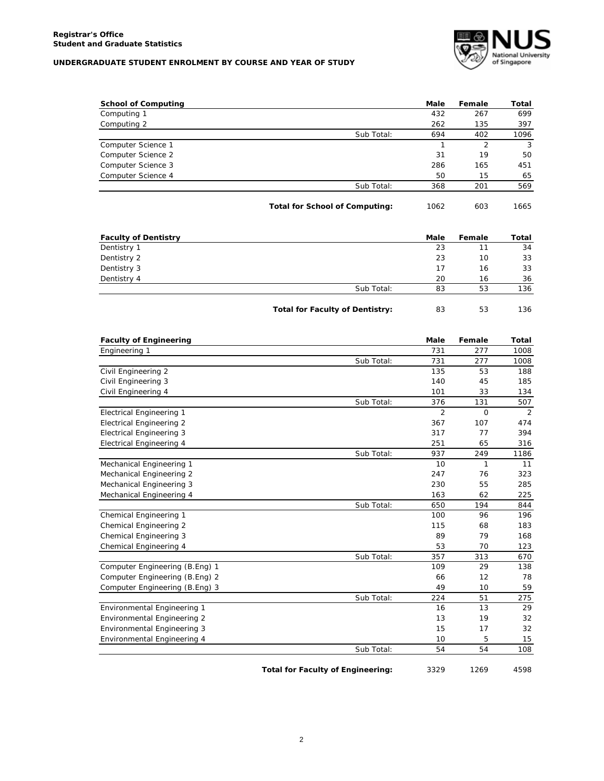

| <b>School of Computing</b>         |                                        | Male         | Female       | Total |
|------------------------------------|----------------------------------------|--------------|--------------|-------|
| Computing 1                        |                                        | 432          | 267          | 699   |
| Computing 2                        |                                        | 262          | 135          | 397   |
|                                    | Sub Total:                             | 694          | 402          | 1096  |
| Computer Science 1                 |                                        | $\mathbf{1}$ | 2            | 3     |
| Computer Science 2                 |                                        | 31           | 19           | 50    |
| Computer Science 3                 |                                        | 286          | 165          | 451   |
| Computer Science 4                 |                                        | 50           | 15           | 65    |
|                                    | Sub Total:                             | 368          | 201          | 569   |
|                                    | <b>Total for School of Computing:</b>  | 1062         | 603          | 1665  |
| <b>Faculty of Dentistry</b>        |                                        | Male         | Female       | Total |
| Dentistry 1                        |                                        | 23           | 11           | 34    |
| Dentistry 2                        |                                        | 23           | 10           | 33    |
| Dentistry 3                        |                                        | 17           | 16           | 33    |
| Dentistry 4                        |                                        | 20           | 16           | 36    |
|                                    | Sub Total:                             | 83           | 53           | 136   |
|                                    | <b>Total for Faculty of Dentistry:</b> | 83           | 53           | 136   |
| <b>Faculty of Engineering</b>      |                                        | Male         | Female       | Total |
| Engineering 1                      |                                        | 731          | 277          | 1008  |
|                                    | Sub Total:                             | 731          | 277          | 1008  |
| Civil Engineering 2                |                                        | 135          | 53           | 188   |
| Civil Engineering 3                |                                        | 140          | 45           | 185   |
| Civil Engineering 4                |                                        | 101          | 33           | 134   |
|                                    | Sub Total:                             | 376          | 131          | 507   |
| <b>Electrical Engineering 1</b>    |                                        | 2            | O            | 2     |
| <b>Electrical Engineering 2</b>    |                                        | 367          | 107          | 474   |
| <b>Electrical Engineering 3</b>    |                                        | 317          | 77           | 394   |
| <b>Electrical Engineering 4</b>    |                                        | 251          | 65           | 316   |
|                                    | Sub Total:                             | 937          | 249          | 1186  |
| Mechanical Engineering 1           |                                        | 10           | $\mathbf{1}$ | 11    |
| Mechanical Engineering 2           |                                        | 247          | 76           | 323   |
| Mechanical Engineering 3           |                                        | 230          | 55           | 285   |
| Mechanical Engineering 4           |                                        | 163          | 62           | 225   |
|                                    | Sub Total:                             | 650          | 194          | 844   |
| Chemical Engineering 1             |                                        | 100          | 96           | 196   |
| Chemical Engineering 2             |                                        | 115          | 68           | 183   |
| Chemical Engineering 3             |                                        | 89           | 79           | 168   |
| Chemical Engineering 4             |                                        | 53           | 70           | 123   |
|                                    | Sub Total:                             | 357          | 313          | 670   |
| Computer Engineering (B.Eng) 1     |                                        | 109          | 29           | 138   |
| Computer Engineering (B.Eng) 2     |                                        | 66           | 12           | 78    |
| Computer Engineering (B.Eng) 3     |                                        | 49           | 10           | 59    |
|                                    | Sub Total:                             | 224          | 51           | 275   |
| Environmental Engineering 1        |                                        | 16           | 13           | 29    |
| Environmental Engineering 2        |                                        | 13           | 19           | 32    |
| <b>Environmental Engineering 3</b> |                                        | 15           | 17           | 32    |
| Environmental Engineering 4        |                                        | 10           | 5            | 15    |
|                                    | Sub Total:                             | 54           | 54           | 108   |

Total for Faculty of Engineering: 3329 1269 4598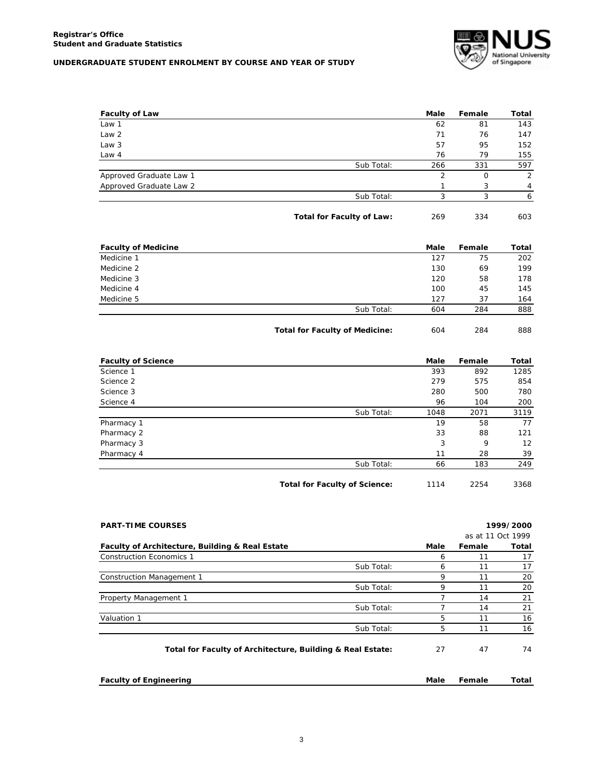

| <b>Faculty of Law</b>      |                                  | Male           | Female      | Total |
|----------------------------|----------------------------------|----------------|-------------|-------|
| Law 1                      |                                  | 62             | 81          | 143   |
| Law <sub>2</sub>           |                                  | 71             | 76          | 147   |
| Law 3                      |                                  | 57             | 95          | 152   |
| Law 4                      |                                  | 76             | 79          | 155   |
|                            | Sub Total:                       | 266            | 331         | 597   |
| Approved Graduate Law 1    |                                  | $\overline{2}$ | $\mathbf 0$ | 2     |
| Approved Graduate Law 2    |                                  | 1              | 3           | 4     |
|                            | Sub Total:                       | 3              | 3           | 6     |
|                            | <b>Total for Faculty of Law:</b> | 269            | 334         | 603   |
| <b>Faculty of Medicine</b> |                                  | <b>Male</b>    | Female      | Total |
| Medicine 1                 |                                  | 127            | 75          | 202   |
| Medicine 2                 |                                  | 130            | 69          | 199   |
| Medicine 3                 |                                  | 120            | 58          | 178   |
| Medicine 4                 |                                  | 100            | 45          | 145   |
| Medicine 5                 |                                  | 127            | 37          | 164   |
|                            | Sub Total:                       | 604            | 284         | 888   |

Total for Faculty of Medicine:  $604$  284 888

| <b>Faculty of Science</b> |                                      | Male | Female | Total |
|---------------------------|--------------------------------------|------|--------|-------|
| Science 1                 |                                      | 393  | 892    | 1285  |
| Science 2                 |                                      | 279  | 575    | 854   |
| Science 3                 |                                      | 280  | 500    | 780   |
| Science 4                 |                                      | 96   | 104    | 200   |
|                           | Sub Total:                           | 1048 | 2071   | 3119  |
| Pharmacy 1                |                                      | 19   | 58     | 77    |
| Pharmacy 2                |                                      | 33   | 88     | 121   |
| Pharmacy 3                |                                      | 3    | 9      | 12    |
| Pharmacy 4                |                                      | 11   | 28     | 39    |
|                           | Sub Total:                           | 66   | 183    | 249   |
|                           | <b>Total for Faculty of Science:</b> | 1114 | 2254   | 3368  |

| <b>PART-TIME COURSES</b>                                   |            |      |        | 1999/2000         |
|------------------------------------------------------------|------------|------|--------|-------------------|
|                                                            |            |      |        | as at 11 Oct 1999 |
| Faculty of Architecture, Building & Real Estate            |            | Male | Female | Total             |
| <b>Construction Economics 1</b>                            |            | 6    | 11     | 17                |
|                                                            | Sub Total: | 6    | 11     | 17                |
| <b>Construction Management 1</b>                           |            | 9    | 11     | 20                |
|                                                            | Sub Total: | 9    | 11     | 20                |
| Property Management 1                                      |            |      | 14     | 21                |
|                                                            | Sub Total: |      | 14     | 21                |
| Valuation 1                                                |            | 5    | 11     | 16                |
|                                                            | Sub Total: | 5    | 11     | 16                |
| Total for Faculty of Architecture, Building & Real Estate: |            | 27   | 47     | 74                |
|                                                            |            |      |        |                   |

**Faculty of Engineering Male Female Total**